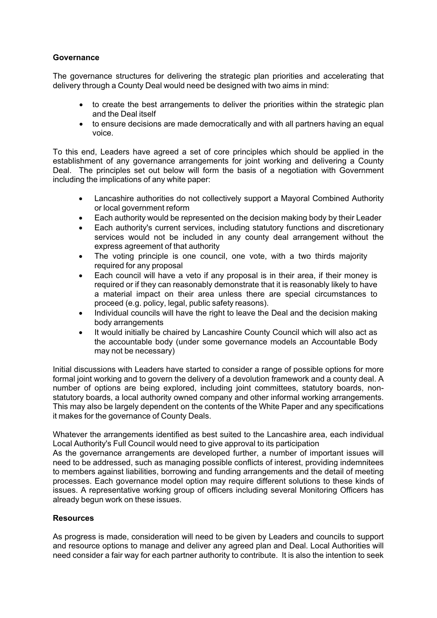## **Governance**

The governance structures for delivering the strategic plan priorities and accelerating that delivery through a County Deal would need be designed with two aims in mind:

- to create the best arrangements to deliver the priorities within the strategic plan and the Deal itself
- to ensure decisions are made democratically and with all partners having an equal voice.

To this end, Leaders have agreed a set of core principles which should be applied in the establishment of any governance arrangements for joint working and delivering a County Deal. The principles set out below will form the basis of a negotiation with Government including the implications of any white paper:

- Lancashire authorities do not collectively support a Mayoral Combined Authority or local government reform
- Each authority would be represented on the decision making body by their Leader
- Each authority's current services, including statutory functions and discretionary services would not be included in any county deal arrangement without the express agreement of that authority
- The voting principle is one council, one vote, with a two thirds majority required for any proposal
- Each council will have a veto if any proposal is in their area, if their money is required or if they can reasonably demonstrate that it is reasonably likely to have a material impact on their area unless there are special circumstances to proceed (e.g. policy, legal, public safety reasons).
- Individual councils will have the right to leave the Deal and the decision making body arrangements
- It would initially be chaired by Lancashire County Council which will also act as the accountable body (under some governance models an Accountable Body may not be necessary)

Initial discussions with Leaders have started to consider a range of possible options for more formal joint working and to govern the delivery of a devolution framework and a county deal. A number of options are being explored, including joint committees, statutory boards, nonstatutory boards, a local authority owned company and other informal working arrangements. This may also be largely dependent on the contents of the White Paper and any specifications it makes for the governance of County Deals.

Whatever the arrangements identified as best suited to the Lancashire area, each individual Local Authority's Full Council would need to give approval to its participation

As the governance arrangements are developed further, a number of important issues will need to be addressed, such as managing possible conflicts of interest, providing indemnitees to members against liabilities, borrowing and funding arrangements and the detail of meeting processes. Each governance model option may require different solutions to these kinds of issues. A representative working group of officers including several Monitoring Officers has already begun work on these issues.

## **Resources**

As progress is made, consideration will need to be given by Leaders and councils to support and resource options to manage and deliver any agreed plan and Deal. Local Authorities will need consider a fair way for each partner authority to contribute. It is also the intention to seek